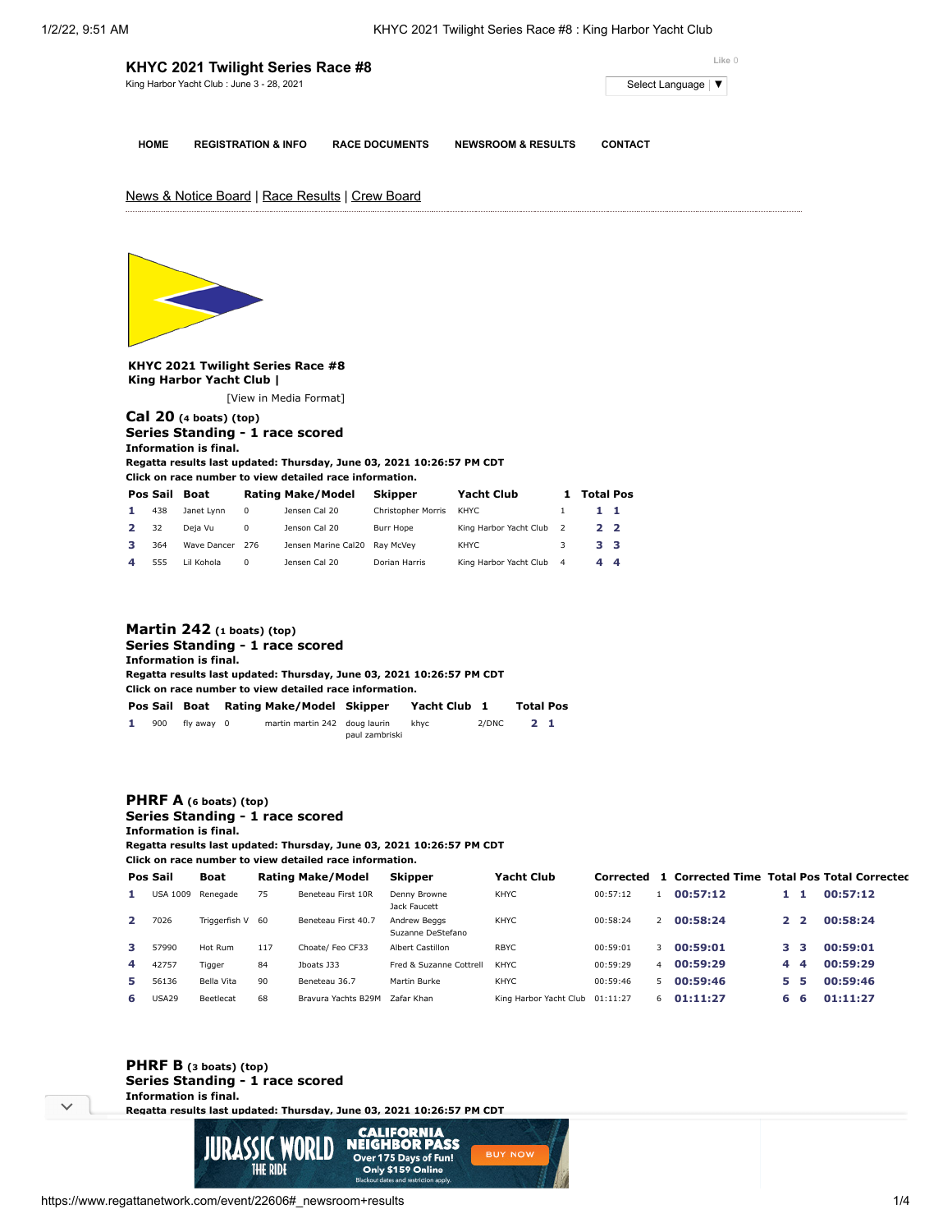|                               |                                           |             | KHYC 2021 Twilight Series Race #8                                                                                                |                        |                               |   |                |                     | Like 0 |
|-------------------------------|-------------------------------------------|-------------|----------------------------------------------------------------------------------------------------------------------------------|------------------------|-------------------------------|---|----------------|---------------------|--------|
|                               | King Harbor Yacht Club: June 3 - 28, 2021 |             |                                                                                                                                  |                        |                               |   |                | Select Language   ▼ |        |
| <b>HOME</b>                   | <b>REGISTRATION &amp; INFO</b>            |             | News & Notice Board   Race Results   Crew Board                                                                                  | <b>RACE DOCUMENTS</b>  | <b>NEWSROOM &amp; RESULTS</b> |   |                | <b>CONTACT</b>      |        |
|                               |                                           |             |                                                                                                                                  |                        |                               |   |                |                     |        |
|                               |                                           |             |                                                                                                                                  |                        |                               |   |                |                     |        |
|                               |                                           |             |                                                                                                                                  |                        |                               |   |                |                     |        |
|                               |                                           |             |                                                                                                                                  |                        |                               |   |                |                     |        |
|                               |                                           |             |                                                                                                                                  |                        |                               |   |                |                     |        |
|                               |                                           |             | KHYC 2021 Twilight Series Race #8                                                                                                |                        |                               |   |                |                     |        |
|                               | King Harbor Yacht Club                    |             |                                                                                                                                  |                        |                               |   |                |                     |        |
|                               |                                           |             | [View in Media Format]                                                                                                           |                        |                               |   |                |                     |        |
|                               | Cal 20 (4 boats) (top)                    |             |                                                                                                                                  |                        |                               |   |                |                     |        |
|                               |                                           |             | Series Standing - 1 race scored                                                                                                  |                        |                               |   |                |                     |        |
|                               | <b>Information is final.</b>              |             |                                                                                                                                  |                        |                               |   |                |                     |        |
|                               |                                           |             | Regatta results last updated: Thursday, June 03, 2021 10:26:57 PM CDT<br>Click on race number to view detailed race information. |                        |                               |   |                |                     |        |
| Pos Sail Boat                 |                                           |             | <b>Rating Make/Model</b>                                                                                                         | <b>Skipper</b>         | <b>Yacht Club</b>             |   | 1 Total Pos    |                     |        |
| 1<br>438                      | Janet Lynn                                | 0           | Jensen Cal 20                                                                                                                    | Christopher Morris     | KHYC                          | 1 | $1\quad1$      |                     |        |
| $\overline{\mathbf{2}}$<br>32 | Deja Vu                                   | $\mathbf 0$ | Jenson Cal 20                                                                                                                    | Burr Hope              | King Harbor Yacht Club 2      |   | 2 <sub>2</sub> |                     |        |
| з<br>364                      | Wave Dancer 276                           |             | Jensen Marine Cal20 Ray McVey                                                                                                    |                        | KHYC                          | 3 | 3 <sub>3</sub> |                     |        |
| 4<br>555                      | Lil Kohola                                | 0           | Jensen Cal 20                                                                                                                    | Dorian Harris          | King Harbor Yacht Club 4      |   | 44             |                     |        |
|                               |                                           |             |                                                                                                                                  |                        |                               |   |                |                     |        |
|                               |                                           |             |                                                                                                                                  |                        |                               |   |                |                     |        |
|                               | Martin 242 (1 boats) (top)                |             |                                                                                                                                  |                        |                               |   |                |                     |        |
|                               | <b>Information is final.</b>              |             | Series Standing - 1 race scored                                                                                                  |                        |                               |   |                |                     |        |
|                               |                                           |             | Regatta results last updated: Thursday, June 03, 2021 10:26:57 PM CDT                                                            |                        |                               |   |                |                     |        |
|                               |                                           |             | Click on race number to view detailed race information.                                                                          |                        |                               |   |                |                     |        |
|                               | Pos Sail Boat                             |             | Rating Make/Model Skipper                                                                                                        | Yacht Club 1           | <b>Total Pos</b>              |   |                |                     |        |
| 1<br>900                      | fly away 0                                |             | martin martin 242 doug laurin                                                                                                    | khyc<br>paul zambriski | 2/DNC<br>2 <sub>1</sub>       |   |                |                     |        |

|              | Pos Sail        | Boat             |     | Rating Make/Model   | <b>Skipper</b>                    | <b>Yacht Club</b>               |          |   | Corrected 1 Corrected Time Total Pos Total Correcter |    |   |          |
|--------------|-----------------|------------------|-----|---------------------|-----------------------------------|---------------------------------|----------|---|------------------------------------------------------|----|---|----------|
|              | <b>USA 1009</b> | Renegade         | 75  | Beneteau First 10R  | Denny Browne<br>Jack Faucett      | <b>KHYC</b>                     | 00:57:12 |   | 00:57:12                                             |    |   | 00:57:12 |
| $\mathbf{2}$ | 7026            | Triggerfish V 60 |     | Beneteau First 40.7 | Andrew Beggs<br>Suzanne DeStefano | <b>KHYC</b>                     | 00:58:24 |   | 00:58:24                                             |    |   | 00:58:24 |
| з            | 57990           | Hot Rum          | 117 | Choate/ Feo CF33    | Albert Castillon                  | <b>RBYC</b>                     | 00:59:01 |   | 00:59:01                                             | з. | з | 00:59:01 |
| 4            | 42757           | Tigger           | 84  | Jboats J33          | Fred & Suzanne Cottrell           | KHYC.                           | 00:59:29 | 4 | 00:59:29                                             | 4  |   | 00:59:29 |
| 5            | 56136           | Bella Vita       | 90  | Beneteau 36.7       | Martin Burke                      | <b>KHYC</b>                     | 00:59:46 | 5 | 00:59:46                                             | 5. |   | 00:59:46 |
| 6            | <b>USA29</b>    | Beetlecat        | 68  | Bravura Yachts B29M | Zafar Khan                        | King Harbor Yacht Club 01:11:27 |          | 6 | 01:11:27                                             | 6  |   | 01:11:27 |

## **[PHRF B](https://www.regattanetwork.com/clubmgmt/applet_regatta_results.php?regatta_id=22606&show_manufacturer=1&show_crew=1&limit_fleet=PHRF+B) (3 boats) (top) Series Standing - 1 race scored Information is final.**

 $\checkmark$ 

**Regatta results last updated: Thursday, June 03, 2021 10:26:57 PM CDT**

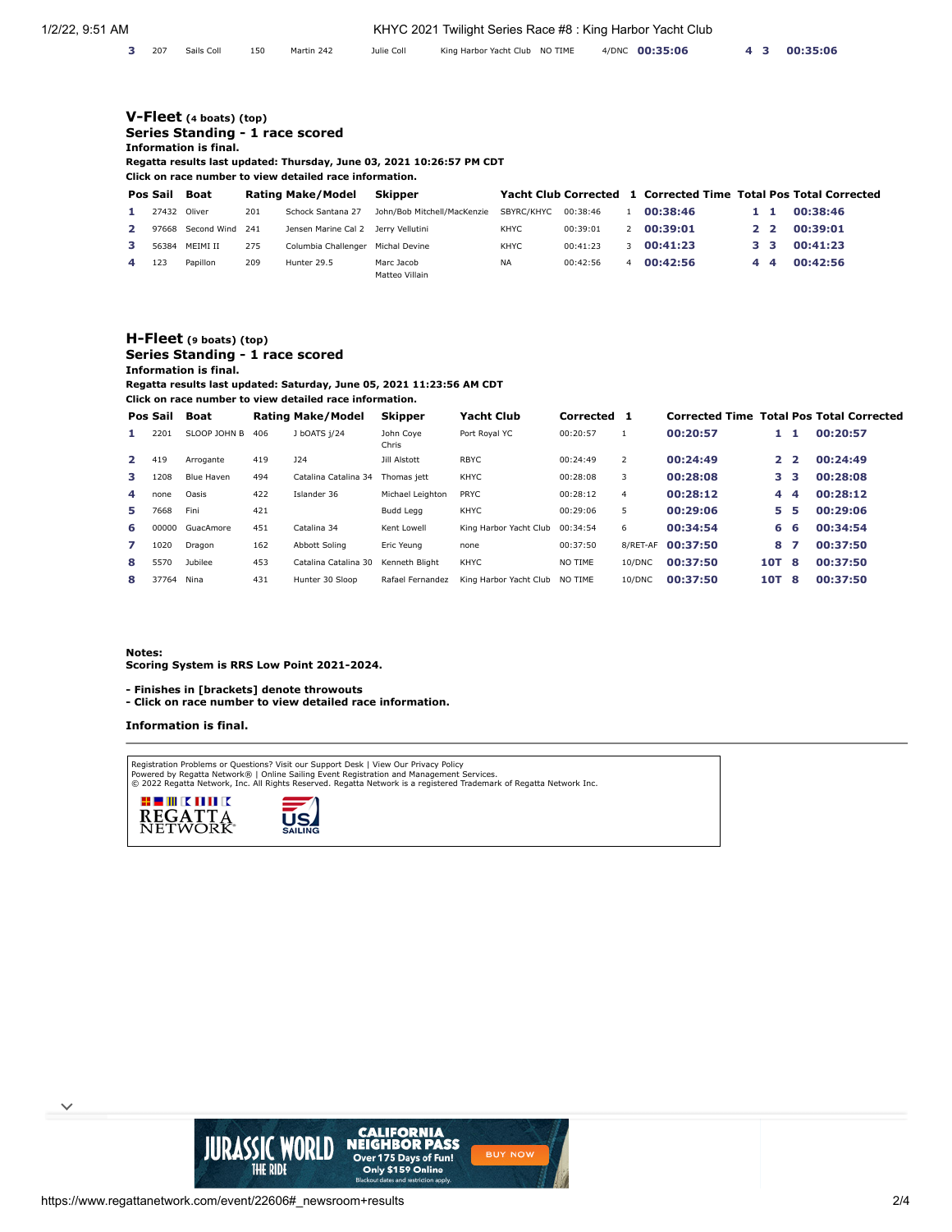## **[V-Fleet](https://www.regattanetwork.com/clubmgmt/applet_regatta_results.php?regatta_id=22606&show_manufacturer=1&show_crew=1&limit_fleet=V-Fleet) (4 boats) (top) Series Standing - 1 race scored Information is final.**

**Regatta results last updated: Thursday, June 03, 2021 10:26:57 PM CDT**

**Click on race number to view detailed race information.**

|              | Pos Sail     | Boat                  |     | Rating Make/Model                   | <b>Skipper</b>               |            |          |   | Yacht Club Corrected 1 Corrected Time Total Pos Total Corrected |    |                |          |
|--------------|--------------|-----------------------|-----|-------------------------------------|------------------------------|------------|----------|---|-----------------------------------------------------------------|----|----------------|----------|
|              | 27432 Oliver |                       | 201 | Schock Santana 27                   | John/Bob Mitchell/MacKenzie  | SBYRC/KHYC | 00:38:46 |   | 00:38:46                                                        | 11 |                | 00:38:46 |
| $\mathbf{2}$ |              | 97668 Second Wind 241 |     | Jensen Marine Cal 2 Jerry Vellutini |                              | KHYC       | 00:39:01 |   | 200:39:01                                                       |    | 2 <sub>2</sub> | 00:39:01 |
| 3.           |              | 56384 MEIMI II        | 275 | Columbia Challenger Michal Devine   |                              | KHYC       | 00:41:23 | 3 | 00:41:23                                                        |    | 3 3            | 00:41:23 |
| 4            | 123          | Papillon              | 209 | Hunter 29.5                         | Marc Jacob<br>Matteo Villain | <b>NA</b>  | 00:42:56 | 4 | 00:42:56                                                        | 44 |                | 00:42:56 |

# **[H-Fleet](https://www.regattanetwork.com/clubmgmt/applet_regatta_results.php?regatta_id=22606&show_manufacturer=1&show_crew=1&limit_fleet=H-Fleet) (9 boats) (top) Series Standing - 1 race scored**

**Information is final.**

**Regatta results last updated: Saturday, June 05, 2021 11:23:56 AM CDT**

**Click on race number to view detailed race information.**

|                | Pos Sail | Boat         |     | Rating Make/Model    | <b>Skipper</b>     | <b>Yacht Club</b>      | Corrected 1 |                |          |                |                | <b>Corrected Time Total Pos Total Corrected</b> |
|----------------|----------|--------------|-----|----------------------|--------------------|------------------------|-------------|----------------|----------|----------------|----------------|-------------------------------------------------|
|                | 2201     | SLOOP JOHN B | 406 | J bOATS i/24         | John Coye<br>Chris | Port Roval YC          | 00:20:57    |                | 00:20:57 |                | 1.             | 00:20:57                                        |
| $\overline{2}$ | 419      | Arrogante    | 419 | <b>J24</b>           | Jill Alstott       | <b>RBYC</b>            | 00:24:49    | 2              | 00:24:49 | $\overline{2}$ | $\overline{2}$ | 00:24:49                                        |
| з              | 1208     | Blue Haven   | 494 | Catalina Catalina 34 | Thomas iett        | <b>KHYC</b>            | 00:28:08    | 3              | 00:28:08 | з.             | з              | 00:28:08                                        |
| 4              | none     | Oasis        | 422 | Islander 36          | Michael Leighton   | <b>PRYC</b>            | 00:28:12    | $\overline{4}$ | 00:28:12 | 4              | 4              | 00:28:12                                        |
| 5.             | 7668     | Fini         | 421 |                      | <b>Budd Legg</b>   | <b>KHYC</b>            | 00:29:06    | 5              | 00:29:06 | 5.             | 5.             | 00:29:06                                        |
| 6              | 00000    | GuacAmore    | 451 | Catalina 34          | Kent Lowell        | King Harbor Yacht Club | 00:34:54    | 6              | 00:34:54 | 6              | -6             | 00:34:54                                        |
| 7              | 1020     | Dragon       | 162 | <b>Abbott Soling</b> | Eric Yeung         | none                   | 00:37:50    | 8/RET-AF       | 00:37:50 | 8              |                | 00:37:50                                        |
| 8              | 5570     | Jubilee      | 453 | Catalina Catalina 30 | Kenneth Blight     | <b>KHYC</b>            | NO TIME     | 10/DNC         | 00:37:50 | 10T            | -8             | 00:37:50                                        |
| 8              | 37764    | Nina         | 431 | Hunter 30 Sloop      | Rafael Fernandez   | King Harbor Yacht Club | NO TIME     | 10/DNC         | 00:37:50 | <b>10T</b>     | -8             | 00:37:50                                        |

#### **Notes:**

 $\checkmark$ 

**Scoring System is RRS Low Point 2021-2024.**

**- Finishes in [brackets] denote throwouts** 

**- Click on race number to view detailed race information.**

### **Information is final.**

Registration Problems or Questions? [Visit our Support Desk](http://support.regattanetwork.com/) | [View Our Privacy Policy](https://www.regattanetwork.com/html/privacy.html)<br>[Powered by Regatta Network®](http://www.regattanetwork.com/) | Online Sailing Event Registration and Management Services.<br>© 2022 [Regatta Network,](http://www.regattanetwork.com/) Inc. All Rights Reserved





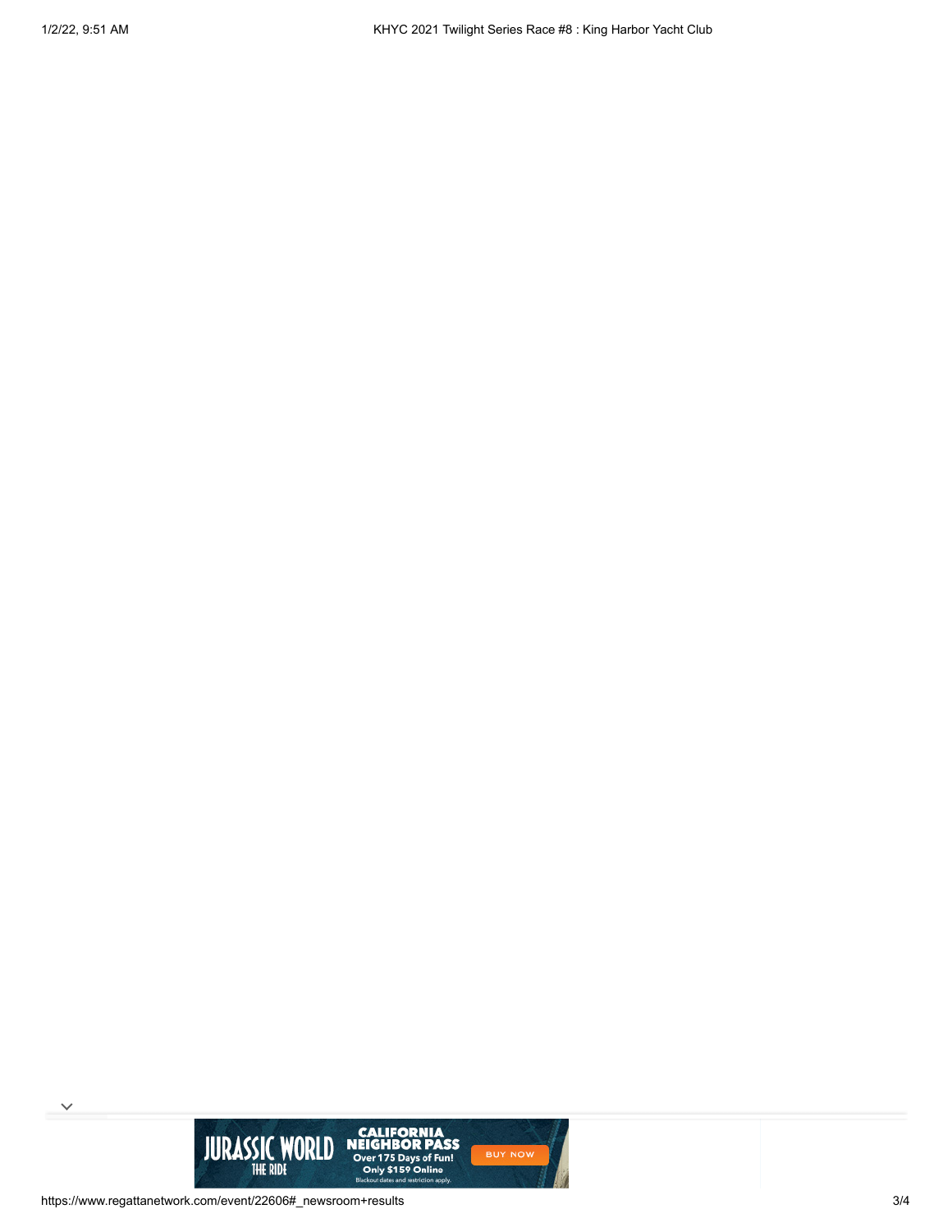

 $\checkmark$